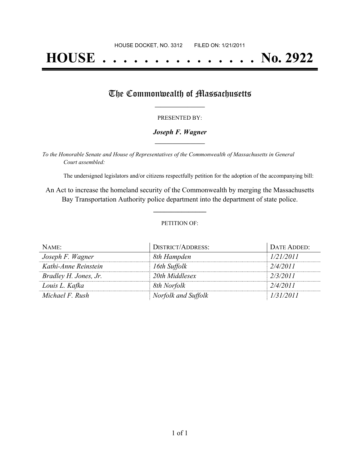# **HOUSE . . . . . . . . . . . . . . . No. 2922**

## The Commonwealth of Massachusetts

#### PRESENTED BY:

## *Joseph F. Wagner* **\_\_\_\_\_\_\_\_\_\_\_\_\_\_\_\_\_**

*To the Honorable Senate and House of Representatives of the Commonwealth of Massachusetts in General Court assembled:*

The undersigned legislators and/or citizens respectfully petition for the adoption of the accompanying bill:

An Act to increase the homeland security of the Commonwealth by merging the Massachusetts Bay Transportation Authority police department into the department of state police.

**\_\_\_\_\_\_\_\_\_\_\_\_\_\_\_**

#### PETITION OF:

| NAME:                 | DISTRICT/ADDRESS:   | DATE ADDED: |
|-----------------------|---------------------|-------------|
| Joseph F. Wagner      | 8th Hampden         | 1/21/2011   |
| Kathi-Anne Reinstein  | 16th Suffolk        | 2/4/2011    |
| Bradley H. Jones, Jr. | 20th Middlesex      | 2/3/2011    |
| Louis L. Kafka        | 8th Norfolk         | 2/4/2011    |
| Michael F. Rush       | Norfolk and Suffolk | 1/31/2011   |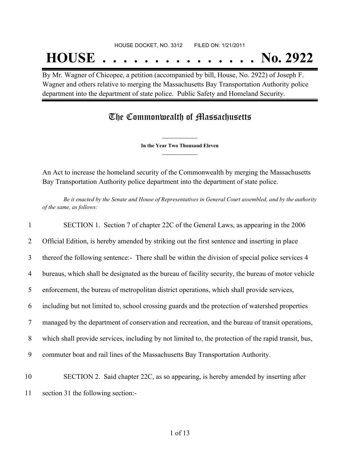## **HOUSE . . . . . . . . . . . . . . . No. 2922**

By Mr. Wagner of Chicopee, a petition (accompanied by bill, House, No. 2922) of Joseph F. Wagner and others relative to merging the Massachusetts Bay Transportation Authority police department into the department of state police. Public Safety and Homeland Security.

## The Commonwealth of Massachusetts

**\_\_\_\_\_\_\_\_\_\_\_\_\_\_\_ In the Year Two Thousand Eleven \_\_\_\_\_\_\_\_\_\_\_\_\_\_\_**

An Act to increase the homeland security of the Commonwealth by merging the Massachusetts Bay Transportation Authority police department into the department of state police.

Be it enacted by the Senate and House of Representatives in General Court assembled, and by the authority *of the same, as follows:*

 SECTION 1. Section 7 of chapter 22C of the General Laws, as appearing in the 2006 Official Edition, is hereby amended by striking out the first sentence and inserting in place thereof the following sentence:- There shall be within the division of special police services 4 bureaus, which shall be designated as the bureau of facility security, the bureau of motor vehicle enforcement, the bureau of metropolitan district operations, which shall provide services, including but not limited to, school crossing guards and the protection of watershed properties managed by the department of conservation and recreation, and the bureau of transit operations, which shall provide services, including by not limited to, the protection of the rapid transit, bus, commuter boat and rail lines of the Massachusetts Bay Transportation Authority. SECTION 2. Said chapter 22C, as so appearing, is hereby amended by inserting after section 31 the following section:-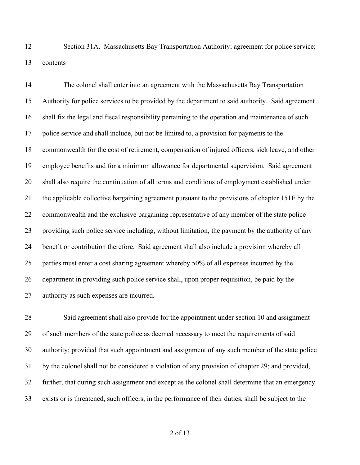Section 31A. Massachusetts Bay Transportation Authority; agreement for police service; contents

 The colonel shall enter into an agreement with the Massachusetts Bay Transportation Authority for police services to be provided by the department to said authority. Said agreement shall fix the legal and fiscal responsibility pertaining to the operation and maintenance of such police service and shall include, but not be limited to, a provision for payments to the commonwealth for the cost of retirement, compensation of injured officers, sick leave, and other employee benefits and for a minimum allowance for departmental supervision. Said agreement shall also require the continuation of all terms and conditions of employment established under the applicable collective bargaining agreement pursuant to the provisions of chapter 151E by the commonwealth and the exclusive bargaining representative of any member of the state police providing such police service including, without limitation, the payment by the authority of any benefit or contribution therefore. Said agreement shall also include a provision whereby all parties must enter a cost sharing agreement whereby 50% of all expenses incurred by the department in providing such police service shall, upon proper requisition, be paid by the authority as such expenses are incurred.

 Said agreement shall also provide for the appointment under section 10 and assignment of such members of the state police as deemed necessary to meet the requirements of said authority; provided that such appointment and assignment of any such member of the state police by the colonel shall not be considered a violation of any provision of chapter 29; and provided, further, that during such assignment and except as the colonel shall determine that an emergency exists or is threatened, such officers, in the performance of their duties, shall be subject to the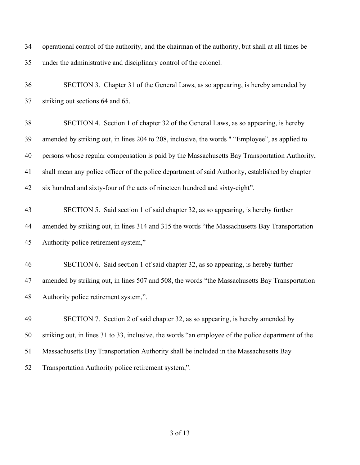| 34 | operational control of the authority, and the chairman of the authority, but shall at all times be |
|----|----------------------------------------------------------------------------------------------------|
| 35 | under the administrative and disciplinary control of the colonel.                                  |
| 36 | SECTION 3. Chapter 31 of the General Laws, as so appearing, is hereby amended by                   |
| 37 | striking out sections 64 and 65.                                                                   |
| 38 | SECTION 4. Section 1 of chapter 32 of the General Laws, as so appearing, is hereby                 |
| 39 | amended by striking out, in lines 204 to 208, inclusive, the words " "Employee", as applied to     |
| 40 | persons whose regular compensation is paid by the Massachusetts Bay Transportation Authority,      |
| 41 | shall mean any police officer of the police department of said Authority, established by chapter   |
| 42 | six hundred and sixty-four of the acts of nineteen hundred and sixty-eight".                       |
| 43 | SECTION 5. Said section 1 of said chapter 32, as so appearing, is hereby further                   |
| 44 | amended by striking out, in lines 314 and 315 the words "the Massachusetts Bay Transportation      |
| 45 | Authority police retirement system,"                                                               |
| 46 | SECTION 6. Said section 1 of said chapter 32, as so appearing, is hereby further                   |
| 47 | amended by striking out, in lines 507 and 508, the words "the Massachusetts Bay Transportation     |
| 48 | Authority police retirement system,".                                                              |
| 49 | SECTION 7. Section 2 of said chapter 32, as so appearing, is hereby amended by                     |
| 50 | striking out, in lines 31 to 33, inclusive, the words "an employee of the police department of the |
| 51 | Massachusetts Bay Transportation Authority shall be included in the Massachusetts Bay              |
| 52 | Transportation Authority police retirement system,".                                               |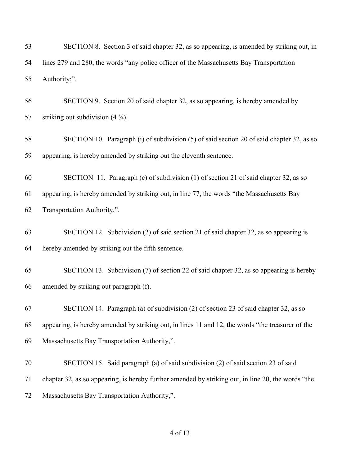| 53 | SECTION 8. Section 3 of said chapter 32, as so appearing, is amended by striking out, in           |
|----|----------------------------------------------------------------------------------------------------|
| 54 | lines 279 and 280, the words "any police officer of the Massachusetts Bay Transportation           |
| 55 | Authority;".                                                                                       |
| 56 | SECTION 9. Section 20 of said chapter 32, as so appearing, is hereby amended by                    |
| 57 | striking out subdivision $(4\frac{3}{4})$ .                                                        |
| 58 | SECTION 10. Paragraph (i) of subdivision (5) of said section 20 of said chapter 32, as so          |
| 59 | appearing, is hereby amended by striking out the eleventh sentence.                                |
| 60 | SECTION 11. Paragraph (c) of subdivision (1) of section 21 of said chapter 32, as so               |
| 61 | appearing, is hereby amended by striking out, in line 77, the words "the Massachusetts Bay         |
| 62 | Transportation Authority,".                                                                        |
| 63 | SECTION 12. Subdivision (2) of said section 21 of said chapter 32, as so appearing is              |
| 64 | hereby amended by striking out the fifth sentence.                                                 |
| 65 | SECTION 13. Subdivision (7) of section 22 of said chapter 32, as so appearing is hereby            |
| 66 | amended by striking out paragraph (f).                                                             |
| 67 | SECTION 14. Paragraph (a) of subdivision (2) of section 23 of said chapter 32, as so               |
| 68 | appearing, is hereby amended by striking out, in lines 11 and 12, the words "the treasurer of the  |
| 69 | Massachusetts Bay Transportation Authority,".                                                      |
| 70 | SECTION 15. Said paragraph (a) of said subdivision (2) of said section 23 of said                  |
| 71 | chapter 32, as so appearing, is hereby further amended by striking out, in line 20, the words "the |
| 72 | Massachusetts Bay Transportation Authority,".                                                      |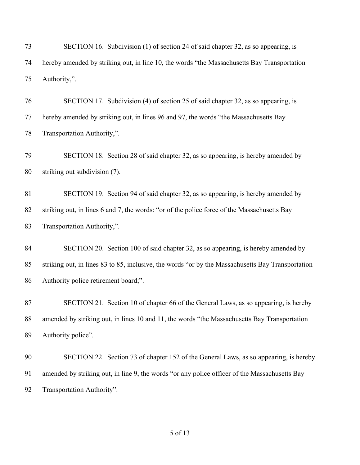SECTION 16. Subdivision (1) of section 24 of said chapter 32, as so appearing, is hereby amended by striking out, in line 10, the words "the Massachusetts Bay Transportation Authority,".

 SECTION 17. Subdivision (4) of section 25 of said chapter 32, as so appearing, is hereby amended by striking out, in lines 96 and 97, the words "the Massachusetts Bay Transportation Authority,".

 SECTION 18. Section 28 of said chapter 32, as so appearing, is hereby amended by striking out subdivision (7).

 SECTION 19. Section 94 of said chapter 32, as so appearing, is hereby amended by striking out, in lines 6 and 7, the words: "or of the police force of the Massachusetts Bay Transportation Authority,".

 SECTION 20. Section 100 of said chapter 32, as so appearing, is hereby amended by striking out, in lines 83 to 85, inclusive, the words "or by the Massachusetts Bay Transportation Authority police retirement board;".

 SECTION 21. Section 10 of chapter 66 of the General Laws, as so appearing, is hereby amended by striking out, in lines 10 and 11, the words "the Massachusetts Bay Transportation Authority police".

 SECTION 22. Section 73 of chapter 152 of the General Laws, as so appearing, is hereby amended by striking out, in line 9, the words "or any police officer of the Massachusetts Bay Transportation Authority".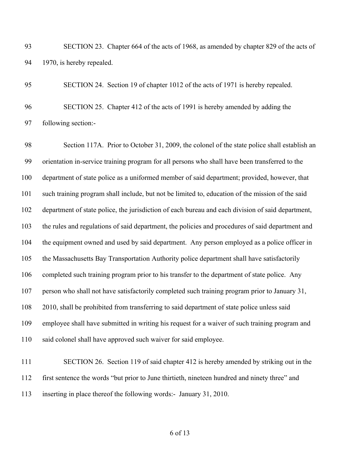SECTION 23. Chapter 664 of the acts of 1968, as amended by chapter 829 of the acts of 1970, is hereby repealed.

 SECTION 24. Section 19 of chapter 1012 of the acts of 1971 is hereby repealed. SECTION 25. Chapter 412 of the acts of 1991 is hereby amended by adding the following section:-

 Section 117A. Prior to October 31, 2009, the colonel of the state police shall establish an orientation in-service training program for all persons who shall have been transferred to the department of state police as a uniformed member of said department; provided, however, that such training program shall include, but not be limited to, education of the mission of the said department of state police, the jurisdiction of each bureau and each division of said department, the rules and regulations of said department, the policies and procedures of said department and the equipment owned and used by said department. Any person employed as a police officer in the Massachusetts Bay Transportation Authority police department shall have satisfactorily completed such training program prior to his transfer to the department of state police. Any person who shall not have satisfactorily completed such training program prior to January 31, 108 2010, shall be prohibited from transferring to said department of state police unless said employee shall have submitted in writing his request for a waiver of such training program and said colonel shall have approved such waiver for said employee.

 SECTION 26. Section 119 of said chapter 412 is hereby amended by striking out in the first sentence the words "but prior to June thirtieth, nineteen hundred and ninety three" and inserting in place thereof the following words:- January 31, 2010.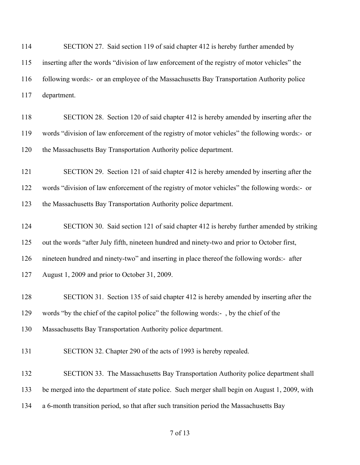114 SECTION 27. Said section 119 of said chapter 412 is hereby further amended by inserting after the words "division of law enforcement of the registry of motor vehicles" the following words:- or an employee of the Massachusetts Bay Transportation Authority police department.

 SECTION 28. Section 120 of said chapter 412 is hereby amended by inserting after the words "division of law enforcement of the registry of motor vehicles" the following words:- or the Massachusetts Bay Transportation Authority police department.

 SECTION 29. Section 121 of said chapter 412 is hereby amended by inserting after the words "division of law enforcement of the registry of motor vehicles" the following words:- or the Massachusetts Bay Transportation Authority police department.

 SECTION 30. Said section 121 of said chapter 412 is hereby further amended by striking out the words "after July fifth, nineteen hundred and ninety-two and prior to October first, nineteen hundred and ninety-two" and inserting in place thereof the following words:- after August 1, 2009 and prior to October 31, 2009.

 SECTION 31. Section 135 of said chapter 412 is hereby amended by inserting after the words "by the chief of the capitol police" the following words:- , by the chief of the

Massachusetts Bay Transportation Authority police department.

SECTION 32. Chapter 290 of the acts of 1993 is hereby repealed.

132 SECTION 33. The Massachusetts Bay Transportation Authority police department shall be merged into the department of state police. Such merger shall begin on August 1, 2009, with a 6-month transition period, so that after such transition period the Massachusetts Bay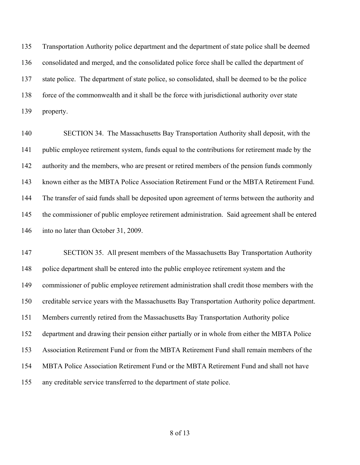Transportation Authority police department and the department of state police shall be deemed consolidated and merged, and the consolidated police force shall be called the department of state police. The department of state police, so consolidated, shall be deemed to be the police force of the commonwealth and it shall be the force with jurisdictional authority over state property.

 SECTION 34. The Massachusetts Bay Transportation Authority shall deposit, with the public employee retirement system, funds equal to the contributions for retirement made by the authority and the members, who are present or retired members of the pension funds commonly known either as the MBTA Police Association Retirement Fund or the MBTA Retirement Fund. The transfer of said funds shall be deposited upon agreement of terms between the authority and the commissioner of public employee retirement administration. Said agreement shall be entered 146 into no later than October 31, 2009.

 SECTION 35. All present members of the Massachusetts Bay Transportation Authority police department shall be entered into the public employee retirement system and the commissioner of public employee retirement administration shall credit those members with the creditable service years with the Massachusetts Bay Transportation Authority police department. Members currently retired from the Massachusetts Bay Transportation Authority police department and drawing their pension either partially or in whole from either the MBTA Police Association Retirement Fund or from the MBTA Retirement Fund shall remain members of the MBTA Police Association Retirement Fund or the MBTA Retirement Fund and shall not have any creditable service transferred to the department of state police.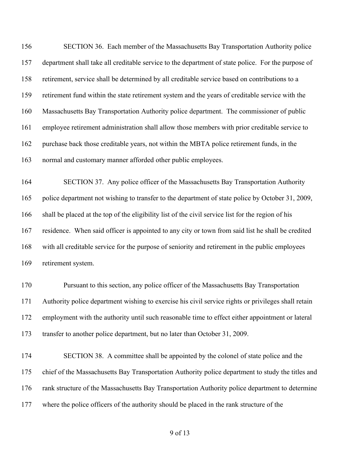SECTION 36. Each member of the Massachusetts Bay Transportation Authority police department shall take all creditable service to the department of state police. For the purpose of retirement, service shall be determined by all creditable service based on contributions to a retirement fund within the state retirement system and the years of creditable service with the Massachusetts Bay Transportation Authority police department. The commissioner of public employee retirement administration shall allow those members with prior creditable service to purchase back those creditable years, not within the MBTA police retirement funds, in the normal and customary manner afforded other public employees.

 SECTION 37. Any police officer of the Massachusetts Bay Transportation Authority police department not wishing to transfer to the department of state police by October 31, 2009, shall be placed at the top of the eligibility list of the civil service list for the region of his residence. When said officer is appointed to any city or town from said list he shall be credited with all creditable service for the purpose of seniority and retirement in the public employees retirement system.

 Pursuant to this section, any police officer of the Massachusetts Bay Transportation Authority police department wishing to exercise his civil service rights or privileges shall retain employment with the authority until such reasonable time to effect either appointment or lateral transfer to another police department, but no later than October 31, 2009.

 SECTION 38. A committee shall be appointed by the colonel of state police and the chief of the Massachusetts Bay Transportation Authority police department to study the titles and rank structure of the Massachusetts Bay Transportation Authority police department to determine where the police officers of the authority should be placed in the rank structure of the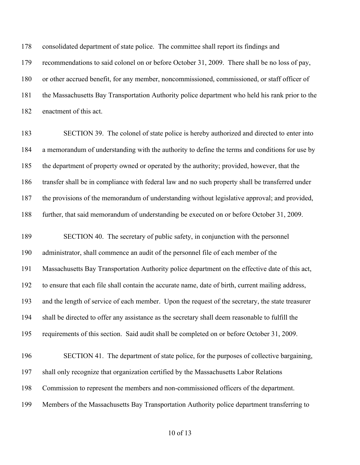consolidated department of state police. The committee shall report its findings and recommendations to said colonel on or before October 31, 2009. There shall be no loss of pay, or other accrued benefit, for any member, noncommissioned, commissioned, or staff officer of the Massachusetts Bay Transportation Authority police department who held his rank prior to the enactment of this act.

 SECTION 39. The colonel of state police is hereby authorized and directed to enter into a memorandum of understanding with the authority to define the terms and conditions for use by the department of property owned or operated by the authority; provided, however, that the transfer shall be in compliance with federal law and no such property shall be transferred under the provisions of the memorandum of understanding without legislative approval; and provided, further, that said memorandum of understanding be executed on or before October 31, 2009.

 SECTION 40. The secretary of public safety, in conjunction with the personnel administrator, shall commence an audit of the personnel file of each member of the Massachusetts Bay Transportation Authority police department on the effective date of this act, to ensure that each file shall contain the accurate name, date of birth, current mailing address, and the length of service of each member. Upon the request of the secretary, the state treasurer shall be directed to offer any assistance as the secretary shall deem reasonable to fulfill the requirements of this section. Said audit shall be completed on or before October 31, 2009. SECTION 41. The department of state police, for the purposes of collective bargaining, shall only recognize that organization certified by the Massachusetts Labor Relations Commission to represent the members and non-commissioned officers of the department.

Members of the Massachusetts Bay Transportation Authority police department transferring to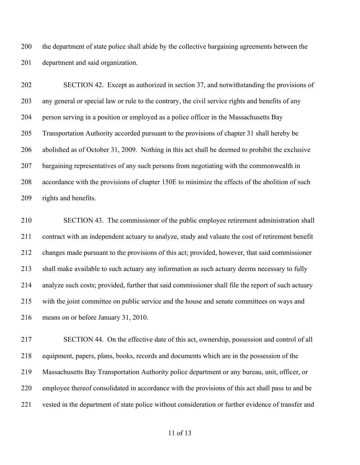the department of state police shall abide by the collective bargaining agreements between the department and said organization.

 SECTION 42. Except as authorized in section 37, and notwithstanding the provisions of any general or special law or rule to the contrary, the civil service rights and benefits of any person serving in a position or employed as a police officer in the Massachusetts Bay Transportation Authority accorded pursuant to the provisions of chapter 31 shall hereby be abolished as of October 31, 2009. Nothing in this act shall be deemed to prohibit the exclusive bargaining representatives of any such persons from negotiating with the commonwealth in accordance with the provisions of chapter 150E to minimize the effects of the abolition of such rights and benefits.

 SECTION 43. The commissioner of the public employee retirement administration shall contract with an independent actuary to analyze, study and valuate the cost of retirement benefit changes made pursuant to the provisions of this act; provided, however, that said commissioner shall make available to such actuary any information as such actuary deems necessary to fully analyze such costs; provided, further that said commissioner shall file the report of such actuary with the joint committee on public service and the house and senate committees on ways and means on or before January 31, 2010.

 SECTION 44. On the effective date of this act, ownership, possession and control of all equipment, papers, plans, books, records and documents which are in the possession of the Massachusetts Bay Transportation Authority police department or any bureau, unit, officer, or employee thereof consolidated in accordance with the provisions of this act shall pass to and be vested in the department of state police without consideration or further evidence of transfer and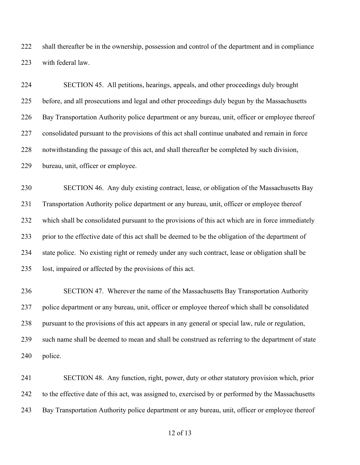shall thereafter be in the ownership, possession and control of the department and in compliance with federal law.

 SECTION 45. All petitions, hearings, appeals, and other proceedings duly brought before, and all prosecutions and legal and other proceedings duly begun by the Massachusetts Bay Transportation Authority police department or any bureau, unit, officer or employee thereof consolidated pursuant to the provisions of this act shall continue unabated and remain in force notwithstanding the passage of this act, and shall thereafter be completed by such division, bureau, unit, officer or employee.

 SECTION 46. Any duly existing contract, lease, or obligation of the Massachusetts Bay Transportation Authority police department or any bureau, unit, officer or employee thereof which shall be consolidated pursuant to the provisions of this act which are in force immediately prior to the effective date of this act shall be deemed to be the obligation of the department of state police. No existing right or remedy under any such contract, lease or obligation shall be lost, impaired or affected by the provisions of this act.

 SECTION 47. Wherever the name of the Massachusetts Bay Transportation Authority police department or any bureau, unit, officer or employee thereof which shall be consolidated pursuant to the provisions of this act appears in any general or special law, rule or regulation, such name shall be deemed to mean and shall be construed as referring to the department of state police.

 SECTION 48. Any function, right, power, duty or other statutory provision which, prior to the effective date of this act, was assigned to, exercised by or performed by the Massachusetts Bay Transportation Authority police department or any bureau, unit, officer or employee thereof